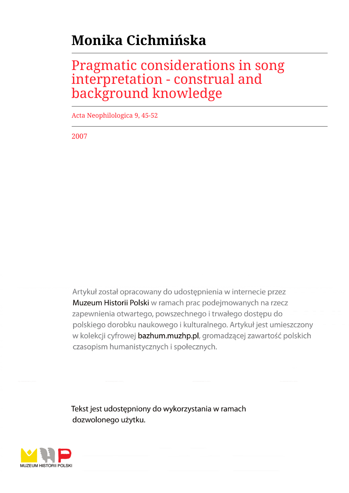# **Monika Cichmińska**

## Pragmatic considerations in song interpretation - construal and background knowledge

Acta Neophilologica 9, 45-52

2007

Artykuł został opracowany do udostępnienia w internecie przez Muzeum Historii Polski w ramach prac podejmowanych na rzecz zapewnienia otwartego, powszechnego i trwałego dostępu do polskiego dorobku naukowego i kulturalnego. Artykuł jest umieszczony w kolekcji cyfrowej bazhum.muzhp.pl, gromadzącej zawartość polskich czasopism humanistycznych i społecznych.

Tekst jest udostępniony do wykorzystania w ramach dozwolonego użytku.

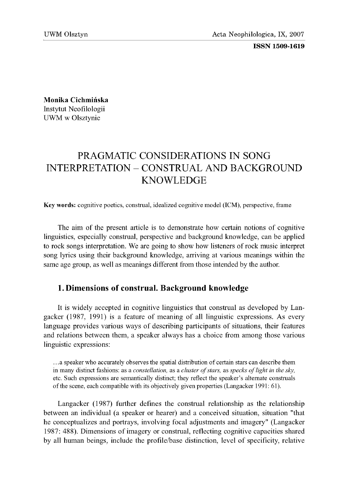ISSN 1509-1619

Monika Cichmińska Instytut Neofilologii UWM w Olsztynie

### PRAGMATIC CONSIDERATIONS IN SONG INTERPRETATION - CONSTRUAL AND BACKGROUND KNOWLEDGE

Key words: cognitive poetics, construal, idealized cognitive model (ICM), perspective, frame

The aim of the present article is to demonstrate how certain notions of cognitive linguistics, especially construal, perspective and background knowledge, can be applied to rock songs interpretation. We are going to show how listeners of rock music interpret song lyrics using their background knowledge, arriving at various meanings within the same age group, as well as meanings different from those intended by the author.

#### **1. Dimensions of construal. Background knowledge**

It is widely accepted in cognitive linguistics that construal as developed by Langacker (1987, 1991) is a feature of meaning of all linguistic expressions. As every language provides various ways of describing participants of situations, their features and relations between them, a speaker always has a choice from among those various linguistic expressions:

.. .a speaker who accurately observes the spatial distribution of certain stars can describe them in many distinct fashions: as a *constellation,* as a *cluster of stars,* as *specks of light in the sky,* etc. Such expressions are semantically distinct; they reflect the speaker's alternate construals of the scene, each compatible with its objectively given properties (Langacker 1991: 61).

Langacker (1987) further defines the construal relationship as the relationship between an individual (a speaker or hearer) and a conceived situation, situation "that he conceptualizes and portrays, involving focal adjustments and imagery" (Langacker 1987: 488). Dimensions of imagery or construal, reflecting cognitive capacities shared by all human beings, include the profile/base distinction, level of specificity, relative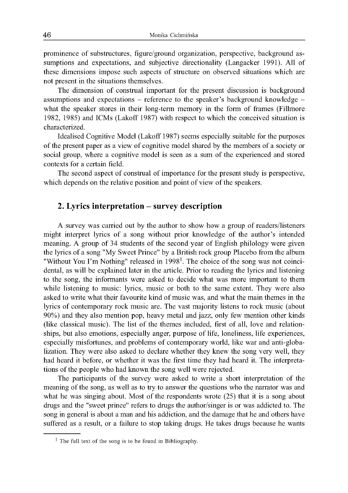prominence of substructures, figure/ground organization, perspective, background assumptions and expectations, and subjective directionality (Langacker 1991). All of these dimensions impose such aspects of structure on observed situations which are not present in the situations themselves.

The dimension of construal important for the present discussion is background assumptions and expectations - reference to the speaker's background knowledge what the speaker stores in their long-term memory in the form of frames (Fillmore 1982, 1985) and ICMs (Lakoff 1987) with respect to which the conceived situation is characterized.

Idealised Cognitive Model (Lakoff 1987) seems especially suitable for the purposes o f the present paper as a view of cognitive model shared by the members of a society or social group, where a cognitive model is seen as a sum of the experienced and stored contexts for a certain field.

The second aspect of construal of importance for the present study is perspective, which depends on the relative position and point of view of the speakers.

#### **2. Lyrics interpretation - survey description**

A survey was carried out by the author to show how a group of readers/listeners might interpret lyrics of a song without prior knowledge of the author's intended meaning. A group of 34 students of the second year of English philology were given the lyrics of a song "My Sweet Prince" by a British rock group Placebo from the album "Without You I'm Nothing" released in 1998<sup>1</sup>. The choice of the song was not coincidental, as will be explained later in the article. Prior to reading the lyrics and listening to the song, the informants were asked to decide what was more important to them while listening to music: lyrics, music or both to the same extent. They were also asked to write what their favourite kind of music was, and what the main themes in the lyrics of contemporary rock music are. The vast majority listens to rock music (about 90%) and they also mention pop, heavy metal and jazz, only few mention other kinds (like classical music). The list of the themes included, first of all, love and relationships, but also emotions, especially anger, purpose of life, loneliness, life experiences, especially misfortunes, and problems of contemporary world, like war and anti-globalization. They were also asked to declare whether they knew the song very well, they had heard it before, or whether it was the first time they had heard it. The interpretations of the people who had known the song well were rejected.

The participants of the survey were asked to write a short interpretation of the meaning of the song, as well as to try to answer the questions who the narrator was and what he was singing about. Most of the respondents wrote (25) that it is a song about drugs and the "sweet prince" refers to drugs the author/singer is or was addicted to. The song in general is about a man and his addiction, and the damage that he and others have suffered as a result, or a failure to stop taking drugs. He takes drugs because he wants

 $<sup>1</sup>$  The full text of the song is to be found in Bibliography.</sup>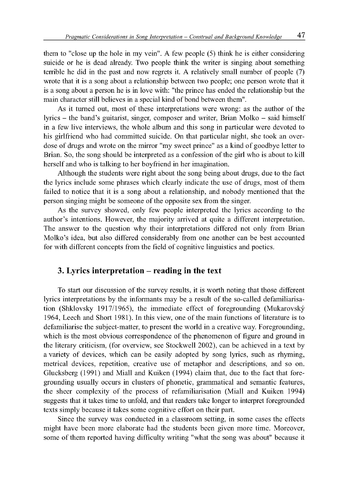them to "close up the hole in my vein". A few people (5) think he is either considering suicide or he is dead already. Two people think the writer is singing about something terrible he did in the past and now regrets it. A relatively small number of people (7) wrote that it is a song about a relationship between two people; one person wrote that it is a song about a person he is in love with: "the prince has ended the relationship but the main character still believes in a special kind of bond between them".

As it turned out, most of these interpretations were wrong: as the author of the lyrics – the band's guitarist, singer, composer and writer, Brian Molko – said himself in a few live interviews, the whole album and this song in particular were devoted to his girlfriend who had committed suicide. On that particular night, she took an overdose of drugs and wrote on the mirror "my sweet prince" as a kind of goodbye letter to Brian. So, the song should be interpreted as a confession of the girl who is about to kill herself and who is talking to her boyfriend in her imagination.

Although the students were right about the song being about drugs, due to the fact the lyrics include some phrases which clearly indicate the use of drugs, most of them failed to notice that it is a song about a relationship, and nobody mentioned that the person singing might be someone of the opposite sex from the singer.

As the survey showed, only few people interpreted the lyrics according to the author's intentions. However, the majority arrived at quite a different interpretation. The answer to the question why their interpretations differed not only from Brian Molko's idea, but also differed considerably from one another can be best accounted for with different concepts from the field of cognitive linguistics and poetics.

#### **3. Lyrics interpretation - reading in the text**

To start our discussion of the survey results, it is worth noting that those different lyrics interpretations by the informants may be a result of the so-called defamiliarisation (Shklovsky 1917/1965), the immediate effect of foregrounding (Mukarovsky 1964, Leech and Short 1981). In this view, one of the main functions of literature is to defamiliarise the subject-matter, to present the world in a creative way. Foregrounding, which is the most obvious correspondence of the phenomenon of figure and ground in the literary criticism, (for overview, see Stockwell 2002), can be achieved in a text by a variety of devices, which can be easily adopted by song lyrics, such as rhyming, metrical devices, repetition, creative use of metaphor and descriptions, and so on. Glucksberg (1991) and Miall and Kuiken (1994) claim that, due to the fact that foregrounding usually occurs in clusters of phonetic, grammatical and semantic features, the sheer complexity of the process of refamiliarisation (Miall and Kuiken 1994) suggests that it takes time to unfold, and that readers take longer to interpret foregrounded texts simply because it takes some cognitive effort on their part.

Since the survey was conducted in a classroom setting, in some cases the effects might have been more elaborate had the students been given more time. Moreover, some of them reported having difficulty writing "what the song was about" because it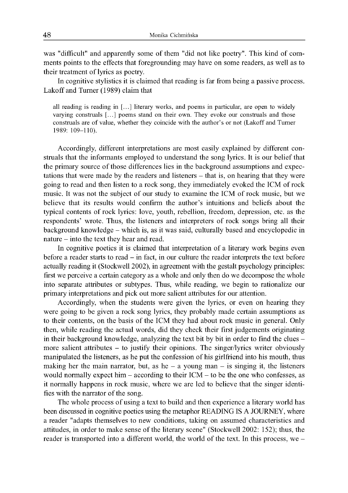was "difficult" and apparently some of them "did not like poetry". This kind of comments points to the effects that foregrounding may have on some readers, as well as to their treatment of lyrics as poetry.

In cognitive stylistics it is claimed that reading is far from being a passive process. Lakoff and Turner (1989) claim that

all reading is reading in [...] literary works, and poems in particular, are open to widely varying construals [...] poems stand on their own. They evoke our construals and those construals are of value, whether they coincide with the author's or not (Lakoff and Turner 1989: 109-110).

Accordingly, different interpretations are most easily explained by different construals that the informants employed to understand the song lyrics. It is our belief that the primary source of those differences lies in the background assumptions and expectations that were made by the readers and listeners - that is, on hearing that they were going to read and then listen to a rock song, they immediately evoked the ICM of rock music. It was not the subject of our study to examine the ICM of rock music, but we believe that its results would confirm the author's intuitions and beliefs about the typical contents of rock lyrics: love, youth, rebellion, freedom, depression, etc. as the respondents' wrote. Thus, the listeners and interpreters of rock songs bring all their background knowledge - which is, as it was said, culturally based and encyclopedic in nature - into the text they hear and read.

In cognitive poetics it is claimed that interpretation of a literary work begins even before a reader starts to read – in fact, in our culture the reader interprets the text before actually reading it (Stockwell 2002), in agreement with the gestalt psychology principles: first we perceive a certain category as a whole and only then do we decompose the whole into separate attributes or subtypes. Thus, while reading, we begin to rationalize our primary interpretations and pick out more salient attributes for our attention.

Accordingly, when the students were given the lyrics, or even on hearing they were going to be given a rock song lyrics, they probably made certain assumptions as to their contents, on the basis of the ICM they had about rock music in general. Only then, while reading the actual words, did they check their first judgements originating in their background knowledge, analyzing the text bit by bit in order to find the clues  $$ more salient attributes - to justify their opinions. The singer/lyrics writer obviously manipulated the listeners, as he put the confession of his girlfriend into his mouth, thus making her the main narrator, but, as he  $-$  a young man  $-$  is singing it, the listeners would normally expect him  $-$  according to their ICM  $-$  to be the one who confesses, as it normally happens in rock music, where we are led to believe that the singer identifies with the narrator of the song.

The whole process of using a text to build and then experience a literary world has been discussed in cognitive poetics using the metaphor READING IS A JOURNEY, where a reader "adapts themselves to new conditions, taking on assumed characteristics and attitudes, in order to make sense of the literary scene" (Stockwell 2002: 152); thus, the reader is transported into a different world, the world of the text. In this process, we -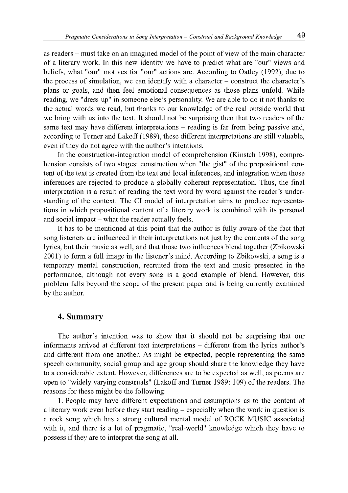as readers – must take on an imagined model of the point of view of the main character of a literary work. In this new identity we have to predict what are "our" views and beliefs, what "our" motives for "our" actions are. According to Oatley (1992), due to the process of simulation, we can identify with a character  $-$  construct the character's plans or goals, and then feel emotional consequences as those plans unfold. While reading, we "dress up" in someone else's personality. We are able to do it not thanks to the actual words we read, but thanks to our knowledge of the real outside world that we bring with us into the text. It should not be surprising then that two readers of the same text may have different interpretations – reading is far from being passive and, according to Turner and Lakoff (1989), these different interpretations are still valuable, even if they do not agree with the author's intentions.

In the construction-integration model of comprehension (Kinstch 1998), comprehension consists of two stages: construction when "the gist" of the propositional content of the text is created from the text and local inferences, and integration when those inferences are rejected to produce a globally coherent representation. Thus, the final interpretation is a result of reading the text word by word against the reader's understanding of the context. The CI model of interpretation aims to produce representations in which propositional content of a literary work is combined with its personal and social impact – what the reader actually feels.

It has to be mentioned at this point that the author is fully aware of the fact that song listeners are influenced in their interpretations not just by the contents of the song lyrics, but their music as well, and that those two influences blend together (Zbikowski 2001) to form a full image in the listener's mind. According to Zbikowski, a song is a temporary mental construction, recruited from the text and music presented in the performance, although not every song is a good example of blend. However, this problem falls beyond the scope of the present paper and is being currently examined by the author.

#### **4. Summary**

The author's intention was to show that it should not be surprising that our informants arrived at different text interpretations - different from the lyrics author's and different from one another. As might be expected, people representing the same speech community, social group and age group should share the knowledge they have to a considerable extent. However, differences are to be expected as well, as poems are open to "widely varying construals" (Lakoff and Turner 1989: 109) of the readers. The reasons for these might be the following:

1. People may have different expectations and assumptions as to the content of a literary work even before they start reading – especially when the work in question is a rock song which has a strong cultural mental model of ROCK MUSIC associated with it, and there is a lot of pragmatic, "real-world" knowledge which they have to possess if they are to interpret the song at all.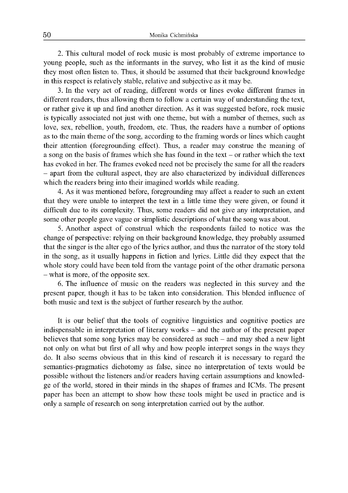2. This cultural model of rock music is most probably of extreme importance to young people, such as the informants in the survey, who list it as the kind of music they most often listen to. Thus, it should be assumed that their background knowledge in this respect is relatively stable, relative and subjective as it may be.

3. In the very act of reading, different words or lines evoke different frames in different readers, thus allowing them to follow a certain way of understanding the text, or rather give it up and find another direction. As it was suggested before, rock music is typically associated not just with one theme, but with a number of themes, such as love, sex, rebellion, youth, freedom, etc. Thus, the readers have a number of options as to the main theme of the song, according to the framing words or lines which caught their attention (foregrounding effect). Thus, a reader may construe the meaning of a song on the basis of frames which she has found in the text  $-$  or rather which the text has evoked in her. The frames evoked need not be precisely the same for all the readers - apart from the cultural aspect, they are also characterized by individual differences which the readers bring into their imagined worlds while reading.

4. As it was mentioned before, foregrounding may affect a reader to such an extent that they were unable to interpret the text in a little time they were given, or found it difficult due to its complexity. Thus, some readers did not give any interpretation, and some other people gave vague or simplistic descriptions of what the song was about.

5. Another aspect of construal which the respondents failed to notice was the change of perspective: relying on their background knowledge, they probably assumed that the singer is the alter ego of the lyrics author, and thus the narrator of the story told in the song, as it usually happens in fiction and lyrics. Little did they expect that the whole story could have been told from the vantage point of the other dramatic persona - what is more, of the opposite sex.

6. The influence of music on the readers was neglected in this survey and the present paper, though it has to be taken into consideration. This blended influence of both music and text is the subject of further research by the author.

It is our belief that the tools of cognitive linguistics and cognitive poetics are indispensable in interpretation of literary works – and the author of the present paper believes that some song lyrics may be considered as such - and may shed a new light not only on what but first of all why and how people interpret songs in the ways they do. It also seems obvious that in this kind of research it is necessary to regard the semantics-pragmatics dichotomy as false, since no interpretation of texts would be possible without the listeners and/or readers having certain assumptions and knowledge of the world, stored in their minds in the shapes of frames and ICMs. The present paper has been an attempt to show how these tools might be used in practice and is only a sample of research on song interpretation carried out by the author.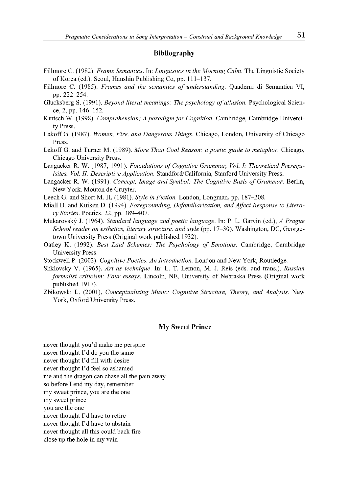#### **Bibliography**

- Fillmore C. (1982). *Frame Semantics.* In: *Linguistics in the Morning Calm.* The Linguistic Society of Korea (ed.). Seoul, Hanshin Publishing Co, pp. 111-137.
- Fillmore C. (1985). *Frames and the semantics of understanding*. Quaderni di Semantica VI, pp. 222-254.
- Glucksberg S. (1991). *Beyond literal meanings: The psychology of allusion*. Psychological Science, 2, pp. 146-152.
- Kintsch W. (1998). *Comprehension; A paradigm for Cognition.* Cambridge, Cambridge University Press.
- Lakoff G. (1987). *Women, Fire, and Dangerous Things.* Chicago, London, University of Chicago Press.
- Lakoff G. and Turner M. (1989). *More Than Cool Reason: a poetic guide to metaphor.* Chicago, Chicago University Press.
- Langacker R. W. (1987, 1991). *Foundations of Cognitive Grammar, Vol. I: Theoretical Prerequisites. Vol. II: Descriptive Application.* Standford/California, Stanford University Press.
- Langacker R. W. (1991). *Concept, Image and Symbol: The Cognitive Basis of Grammar.* Berlin, New York, Mouton de Gruyter.
- Leech G. and Short M. H. (1981). *Style in Fiction.* London, Longman, pp. 187-208.
- Miall D. and Kuiken D. (1994). *Foregrounding, Defamiliarization, and Affect Response to Literary Stories*. Poetics, 22, pp. 389-407.
- Mukarovsky J. (1964). *Standard language and poetic language.* In: P. L. Garvin (ed.), *A Prague School reader on esthetics, literary structure, and style* (pp. 17-30). Washington, DC, Georgetown University Press (Original work published 1932).
- Oatley K. (1992). *Best Laid Schemes: The Psychology of Emotions.* Cambridge, Cambridge University Press.
- Stockwell P. (2002). *Cognitive Poetics. An Introduction.* London and New York, Routledge.
- Shklovsky V. (1965). *Art as technique.* In: L. T. Lemon, M. J. Reis (eds. and trans.), *Russian formalist criticism: Four essays.* Lincoln, NE, University of Nebraska Press (Original work published 1917).
- Zbikowski L. (2001). *Conceptualizing Music: Cognitive Structure, Theory, and Analysis.* New York, Oxford University Press.

#### **My Sweet Prince**

never thought you'd make me perspire never thought I'd do you the same never thought I'd fill with desire never thought I'd feel so ashamed me and the dragon can chase all the pain away so before I end my day, remember my sweet prince, you are the one my sweet prince you are the one never thought I'd have to retire never thought I'd have to abstain never thought all this could back fire close up the hole in my vain